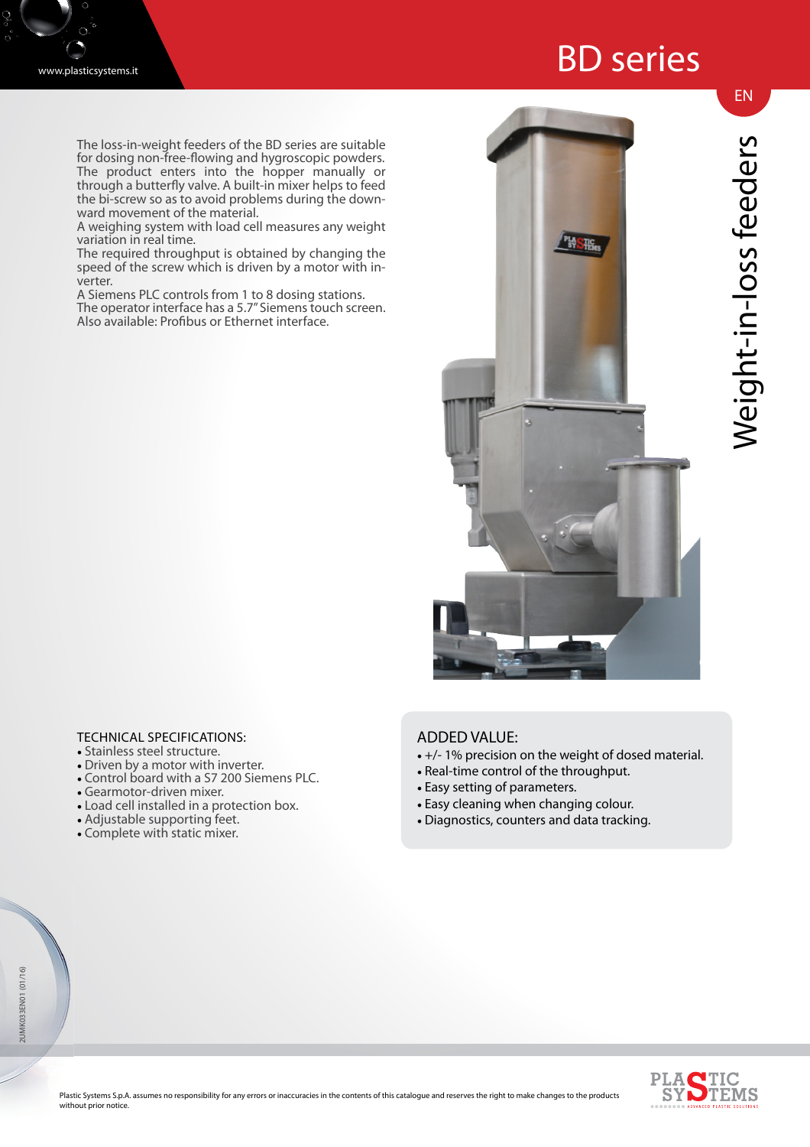## BD series

The loss-in-weight feeders of the BD series are suitable for dosing non-free-flowing and hygroscopic powders. The product enters into the hopper manually or through a butterfly valve. A built-in mixer helps to feed the bi-screw so as to avoid problems during the downward movement of the material.

A weighing system with load cell measures any weight variation in real time.

The required throughput is obtained by changing the speed of the screw which is driven by a motor with inverter.

A Siemens PLC controls from 1 to 8 dosing stations. The operator interface has a 5.7" Siemens touch screen. Also available: Profibus or Ethernet interface.



EN

## TECHNICAL SPECIFICATIONS:

- Stainless steel structure.
- Driven by a motor with inverter.
- Control board with a S7 200 Siemens PLC.
- Gearmotor-driven mixer.
- Load cell installed in a protection box.
- Adjustable supporting feet.
- Complete with static mixer.

## ADDED VALUE:

- +/- 1% precision on the weight of dosed material.
- Real-time control of the throughput.
- Easy setting of parameters.
- Easy cleaning when changing colour.
- Diagnostics, counters and data tracking.